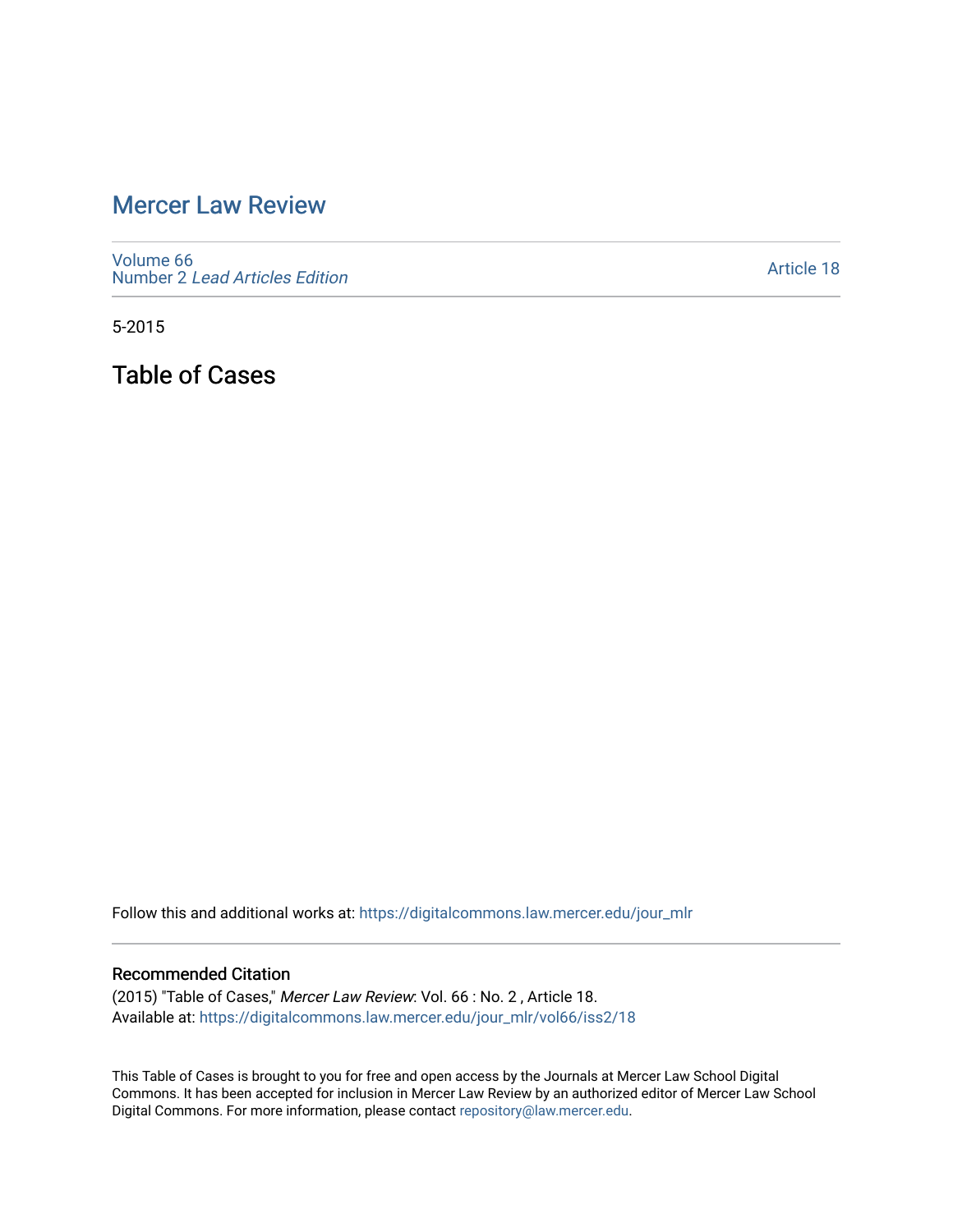## [Mercer Law Review](https://digitalcommons.law.mercer.edu/jour_mlr)

[Volume 66](https://digitalcommons.law.mercer.edu/jour_mlr/vol66) Number 2 [Lead Articles Edition](https://digitalcommons.law.mercer.edu/jour_mlr/vol66/iss2)

[Article 18](https://digitalcommons.law.mercer.edu/jour_mlr/vol66/iss2/18) 

5-2015

Table of Cases

Follow this and additional works at: [https://digitalcommons.law.mercer.edu/jour\\_mlr](https://digitalcommons.law.mercer.edu/jour_mlr?utm_source=digitalcommons.law.mercer.edu%2Fjour_mlr%2Fvol66%2Fiss2%2F18&utm_medium=PDF&utm_campaign=PDFCoverPages)

#### Recommended Citation

(2015) "Table of Cases," Mercer Law Review: Vol. 66 : No. 2 , Article 18. Available at: [https://digitalcommons.law.mercer.edu/jour\\_mlr/vol66/iss2/18](https://digitalcommons.law.mercer.edu/jour_mlr/vol66/iss2/18?utm_source=digitalcommons.law.mercer.edu%2Fjour_mlr%2Fvol66%2Fiss2%2F18&utm_medium=PDF&utm_campaign=PDFCoverPages) 

This Table of Cases is brought to you for free and open access by the Journals at Mercer Law School Digital Commons. It has been accepted for inclusion in Mercer Law Review by an authorized editor of Mercer Law School Digital Commons. For more information, please contact [repository@law.mercer.edu](mailto:repository@law.mercer.edu).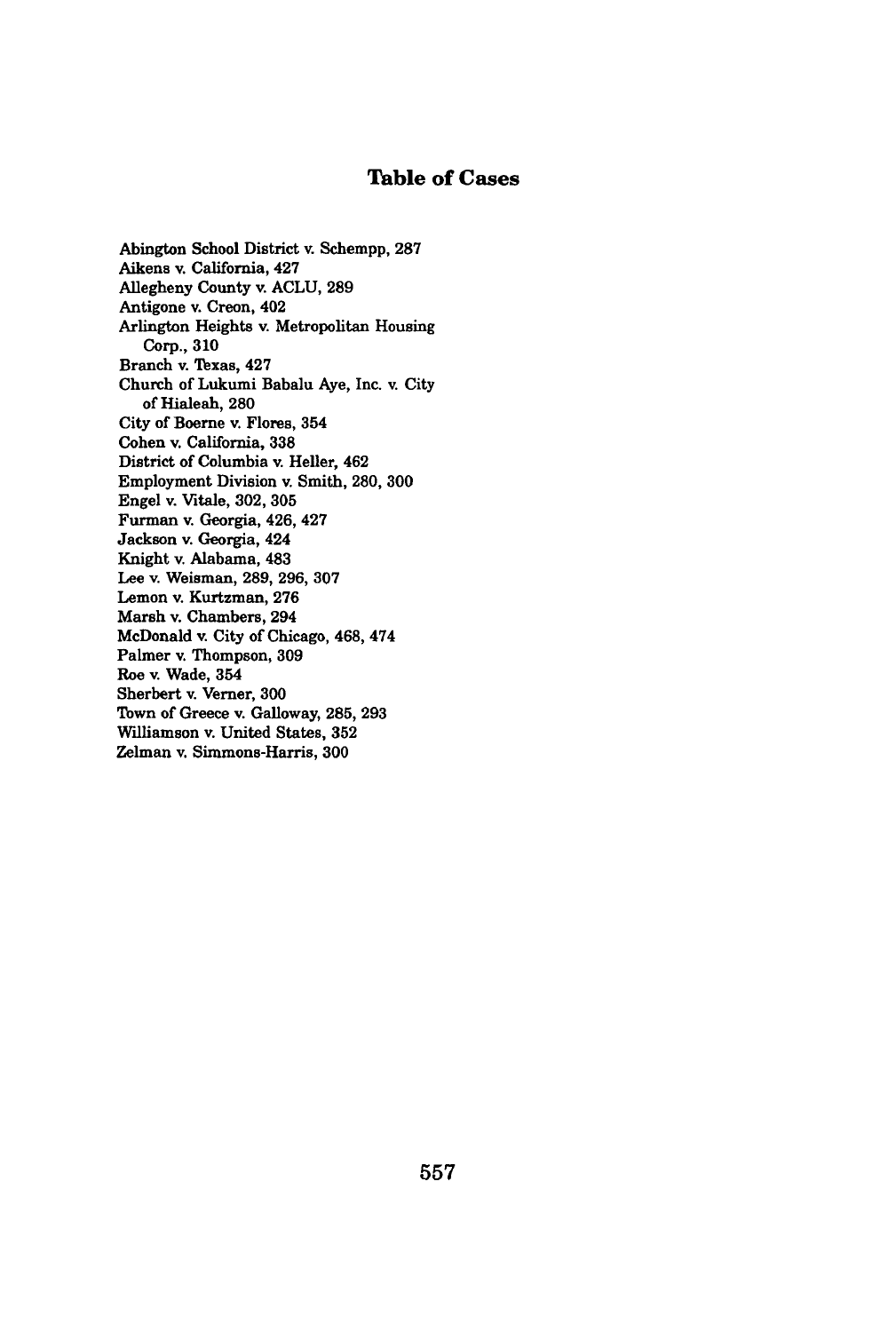#### Table of Cases

Abington School District v. Schempp, **287** Aikens v. California, 427 Allegheny County v. **ACLU, 289** Antigone v. Creon, 402 Arlington Heights v. Metropolitan Housing Corp., **310** Branch v. **Texas,** 427 Church of Lukumi Babalu Aye, Inc. v. City of Hialeah, **280** City of Boerne v. Flores, 354 Cohen v. California, **338** District of Columbia v. Heller, 462 Employment Division v. Smith, **280, 300** Engel v. Vitale, **302, 305** Furman v. Georgia, 426, 427 Jackson v. Georgia, 424 Knight v. Alabama, 483 Lee v. Weisman, **289, 296, 307** Lemon v. Kurtzman, **276** Marsh v. Chambers, 294 McDonald v. City of Chicago, 468, 474 Palmer v. Thompson, **309** Roe v. Wade, 354 Sherbert v. Verner, **300 Town** of Greece v. Galloway, **285, 293** Williamson v. United States, **352** Zelman v. Simmons-Harris, **300**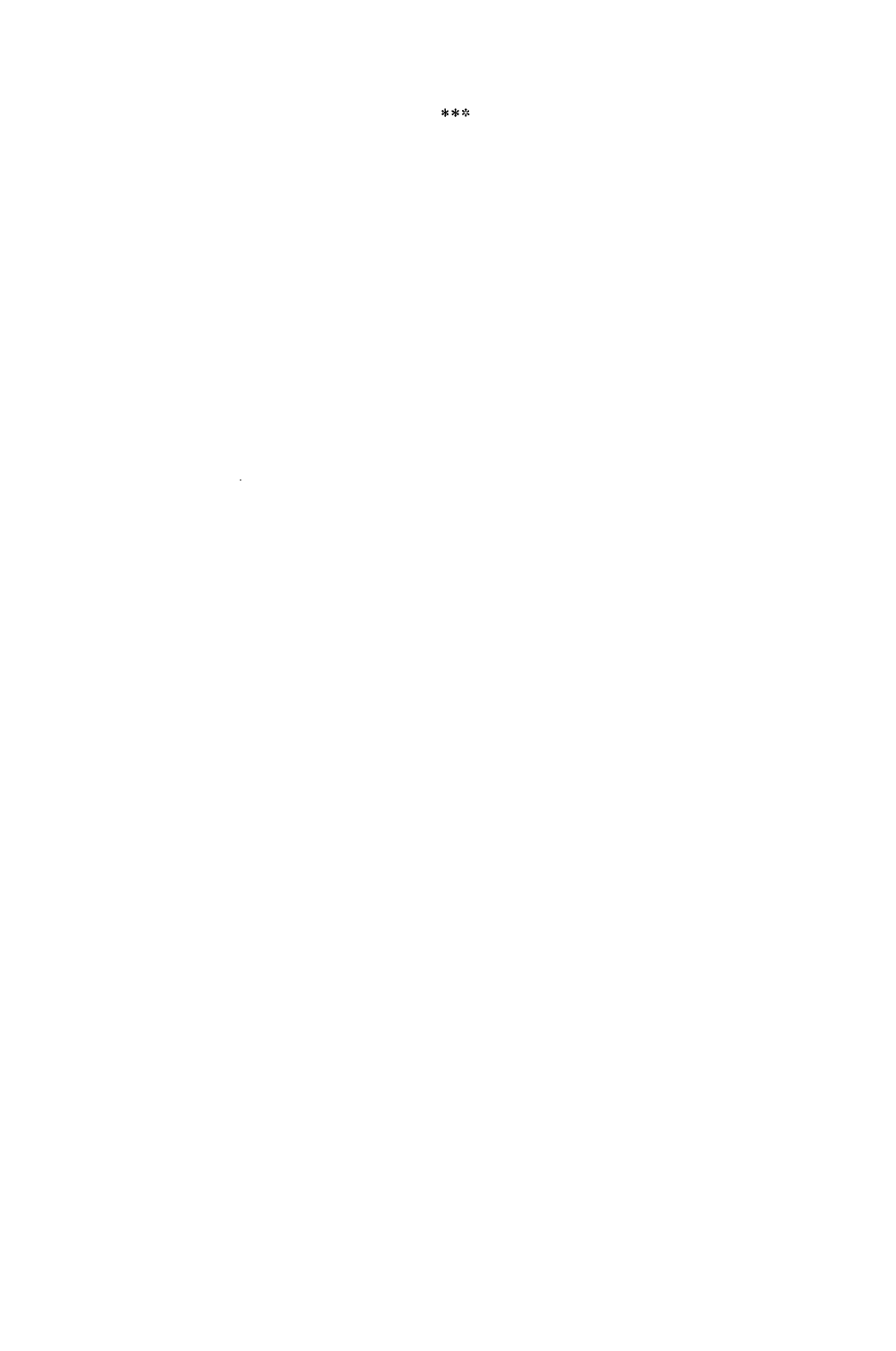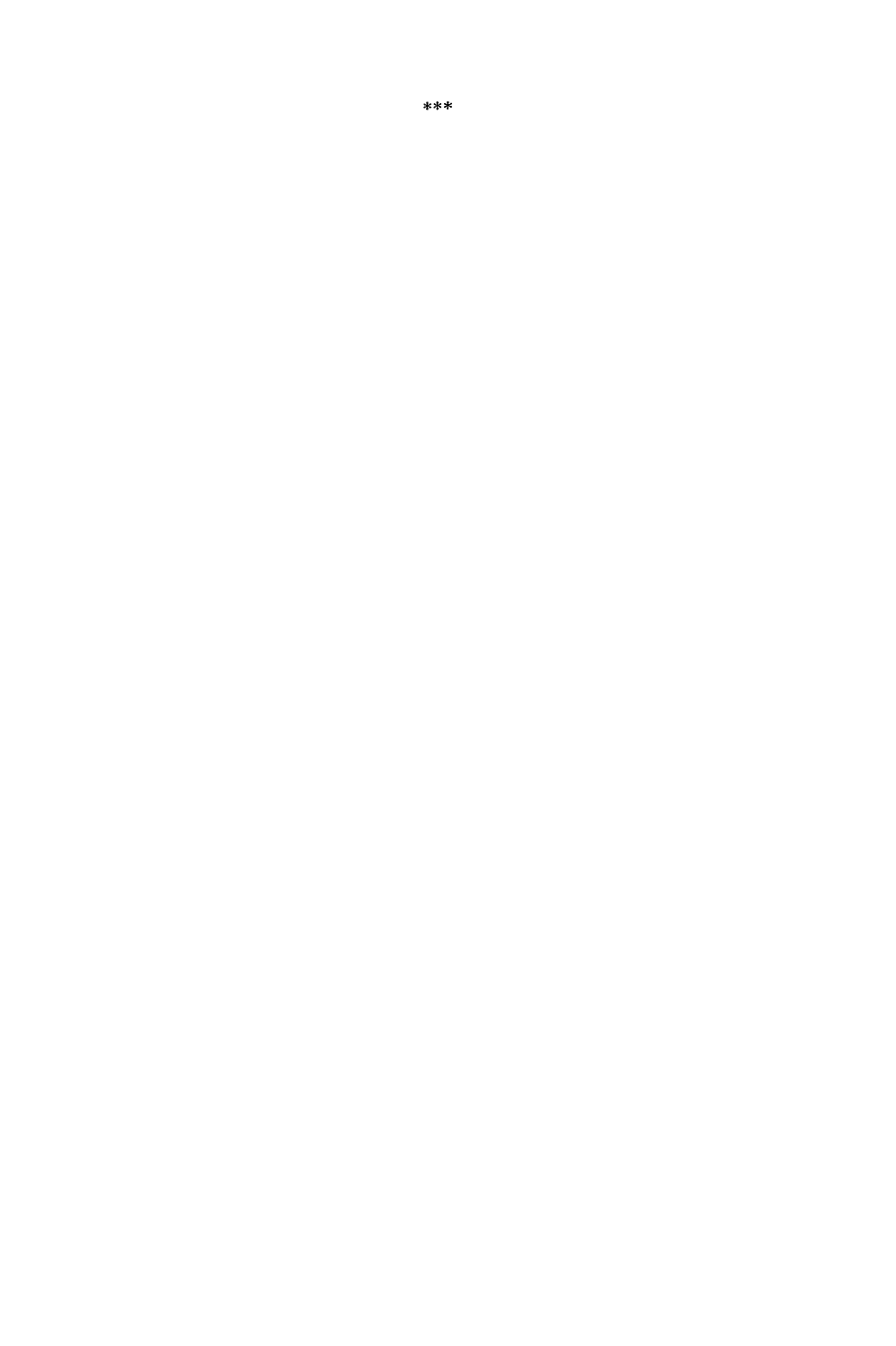